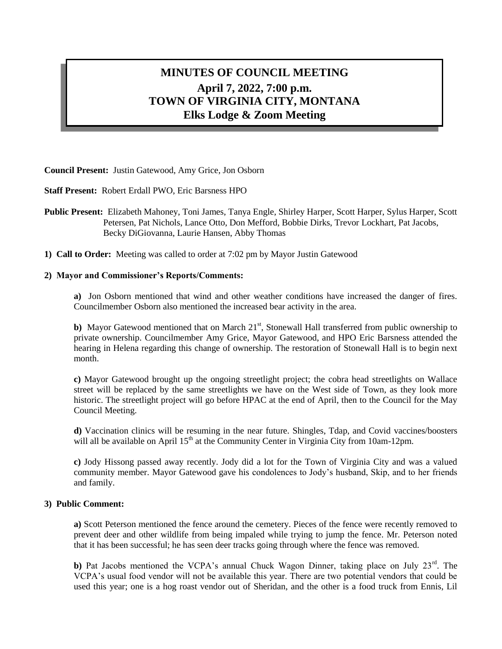# **MINUTES OF COUNCIL MEETING April 7, 2022, 7:00 p.m. TOWN OF VIRGINIA CITY, MONTANA Elks Lodge & Zoom Meeting**

**Council Present:** Justin Gatewood, Amy Grice, Jon Osborn

**Staff Present:** Robert Erdall PWO, Eric Barsness HPO

- **Public Present:** Elizabeth Mahoney, Toni James, Tanya Engle, Shirley Harper, Scott Harper, Sylus Harper, Scott Petersen, Pat Nichols, Lance Otto, Don Mefford, Bobbie Dirks, Trevor Lockhart, Pat Jacobs, Becky DiGiovanna, Laurie Hansen, Abby Thomas
- **1) Call to Order:** Meeting was called to order at 7:02 pm by Mayor Justin Gatewood

#### **2) Mayor and Commissioner's Reports/Comments:**

**a)** Jon Osborn mentioned that wind and other weather conditions have increased the danger of fires. Councilmember Osborn also mentioned the increased bear activity in the area.

**b**) Mayor Gatewood mentioned that on March 21<sup>st</sup>, Stonewall Hall transferred from public ownership to private ownership. Councilmember Amy Grice, Mayor Gatewood, and HPO Eric Barsness attended the hearing in Helena regarding this change of ownership. The restoration of Stonewall Hall is to begin next month.

**c)** Mayor Gatewood brought up the ongoing streetlight project; the cobra head streetlights on Wallace street will be replaced by the same streetlights we have on the West side of Town, as they look more historic. The streetlight project will go before HPAC at the end of April, then to the Council for the May Council Meeting.

**d)** Vaccination clinics will be resuming in the near future. Shingles, Tdap, and Covid vaccines/boosters will all be available on April 15<sup>th</sup> at the Community Center in Virginia City from 10am-12pm.

**c)** Jody Hissong passed away recently. Jody did a lot for the Town of Virginia City and was a valued community member. Mayor Gatewood gave his condolences to Jody's husband, Skip, and to her friends and family.

#### **3) Public Comment:**

**a)** Scott Peterson mentioned the fence around the cemetery. Pieces of the fence were recently removed to prevent deer and other wildlife from being impaled while trying to jump the fence. Mr. Peterson noted that it has been successful; he has seen deer tracks going through where the fence was removed.

**b**) Pat Jacobs mentioned the VCPA's annual Chuck Wagon Dinner, taking place on July  $23<sup>rd</sup>$ . The VCPA's usual food vendor will not be available this year. There are two potential vendors that could be used this year; one is a hog roast vendor out of Sheridan, and the other is a food truck from Ennis, Lil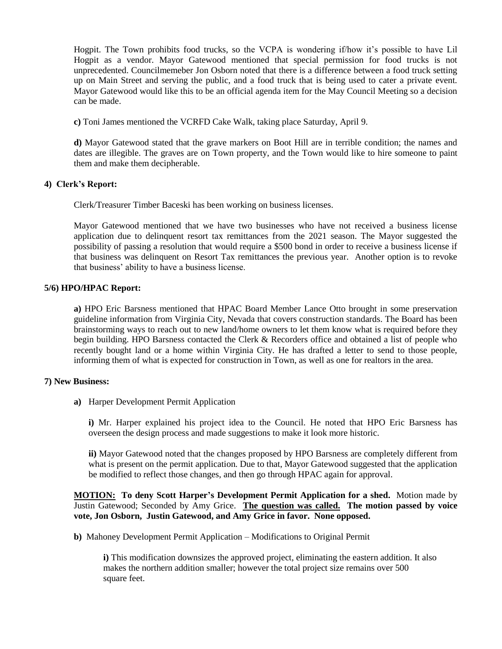Hogpit. The Town prohibits food trucks, so the VCPA is wondering if/how it's possible to have Lil Hogpit as a vendor. Mayor Gatewood mentioned that special permission for food trucks is not unprecedented. Councilmemeber Jon Osborn noted that there is a difference between a food truck setting up on Main Street and serving the public, and a food truck that is being used to cater a private event. Mayor Gatewood would like this to be an official agenda item for the May Council Meeting so a decision can be made.

**c)** Toni James mentioned the VCRFD Cake Walk, taking place Saturday, April 9.

**d)** Mayor Gatewood stated that the grave markers on Boot Hill are in terrible condition; the names and dates are illegible. The graves are on Town property, and the Town would like to hire someone to paint them and make them decipherable.

# **4) Clerk's Report:**

Clerk/Treasurer Timber Baceski has been working on business licenses.

Mayor Gatewood mentioned that we have two businesses who have not received a business license application due to delinquent resort tax remittances from the 2021 season. The Mayor suggested the possibility of passing a resolution that would require a \$500 bond in order to receive a business license if that business was delinquent on Resort Tax remittances the previous year. Another option is to revoke that business' ability to have a business license.

# **5/6) HPO/HPAC Report:**

**a)** HPO Eric Barsness mentioned that HPAC Board Member Lance Otto brought in some preservation guideline information from Virginia City, Nevada that covers construction standards. The Board has been brainstorming ways to reach out to new land/home owners to let them know what is required before they begin building. HPO Barsness contacted the Clerk & Recorders office and obtained a list of people who recently bought land or a home within Virginia City. He has drafted a letter to send to those people, informing them of what is expected for construction in Town, as well as one for realtors in the area.

### **7) New Business:**

**a)** Harper Development Permit Application

**i)** Mr. Harper explained his project idea to the Council. He noted that HPO Eric Barsness has overseen the design process and made suggestions to make it look more historic.

**ii)** Mayor Gatewood noted that the changes proposed by HPO Barsness are completely different from what is present on the permit application. Due to that, Mayor Gatewood suggested that the application be modified to reflect those changes, and then go through HPAC again for approval.

**MOTION: To deny Scott Harper's Development Permit Application for a shed.** Motion made by Justin Gatewood; Seconded by Amy Grice. **The question was called. The motion passed by voice vote, Jon Osborn, Justin Gatewood, and Amy Grice in favor. None opposed.**

**b)** Mahoney Development Permit Application – Modifications to Original Permit

**i)** This modification downsizes the approved project, eliminating the eastern addition. It also makes the northern addition smaller; however the total project size remains over 500 square feet.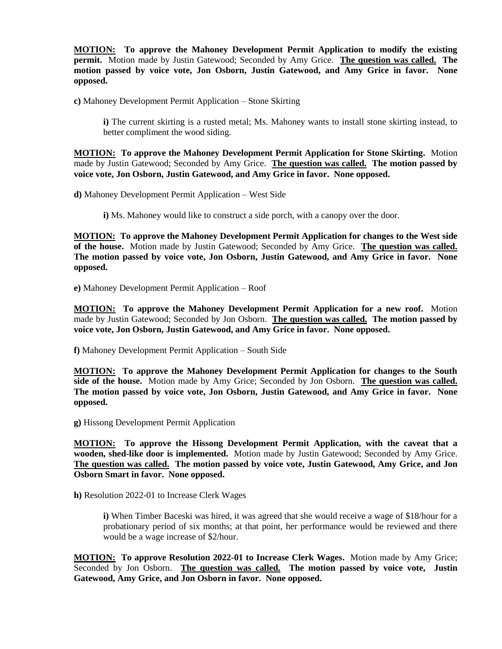**MOTION: To approve the Mahoney Development Permit Application to modify the existing permit.** Motion made by Justin Gatewood; Seconded by Amy Grice. **The question was called. The motion passed by voice vote, Jon Osborn, Justin Gatewood, and Amy Grice in favor. None opposed.**

**c)** Mahoney Development Permit Application – Stone Skirting

**i)** The current skirting is a rusted metal; Ms. Mahoney wants to install stone skirting instead, to better compliment the wood siding.

**MOTION: To approve the Mahoney Development Permit Application for Stone Skirting.** Motion made by Justin Gatewood; Seconded by Amy Grice. **The question was called. The motion passed by voice vote, Jon Osborn, Justin Gatewood, and Amy Grice in favor. None opposed.**

**d)** Mahoney Development Permit Application – West Side

**i)** Ms. Mahoney would like to construct a side porch, with a canopy over the door.

**MOTION: To approve the Mahoney Development Permit Application for changes to the West side of the house.** Motion made by Justin Gatewood; Seconded by Amy Grice. **The question was called. The motion passed by voice vote, Jon Osborn, Justin Gatewood, and Amy Grice in favor. None opposed.**

**e)** Mahoney Development Permit Application – Roof

**MOTION: To approve the Mahoney Development Permit Application for a new roof.** Motion made by Justin Gatewood; Seconded by Jon Osborn. **The question was called. The motion passed by voice vote, Jon Osborn, Justin Gatewood, and Amy Grice in favor. None opposed.**

**f)** Mahoney Development Permit Application – South Side

**MOTION: To approve the Mahoney Development Permit Application for changes to the South side of the house.** Motion made by Amy Grice; Seconded by Jon Osborn. **The question was called. The motion passed by voice vote, Jon Osborn, Justin Gatewood, and Amy Grice in favor. None opposed.**

**g)** Hissong Development Permit Application

**MOTION: To approve the Hissong Development Permit Application, with the caveat that a wooden, shed-like door is implemented.** Motion made by Justin Gatewood; Seconded by Amy Grice. **The question was called. The motion passed by voice vote, Justin Gatewood, Amy Grice, and Jon Osborn Smart in favor. None opposed.**

**h)** Resolution 2022-01 to Increase Clerk Wages

**i)** When Timber Baceski was hired, it was agreed that she would receive a wage of \$18/hour for a probationary period of six months; at that point, her performance would be reviewed and there would be a wage increase of \$2/hour.

**MOTION: To approve Resolution 2022-01 to Increase Clerk Wages.** Motion made by Amy Grice; Seconded by Jon Osborn. **The question was called. The motion passed by voice vote, Justin Gatewood, Amy Grice, and Jon Osborn in favor. None opposed.**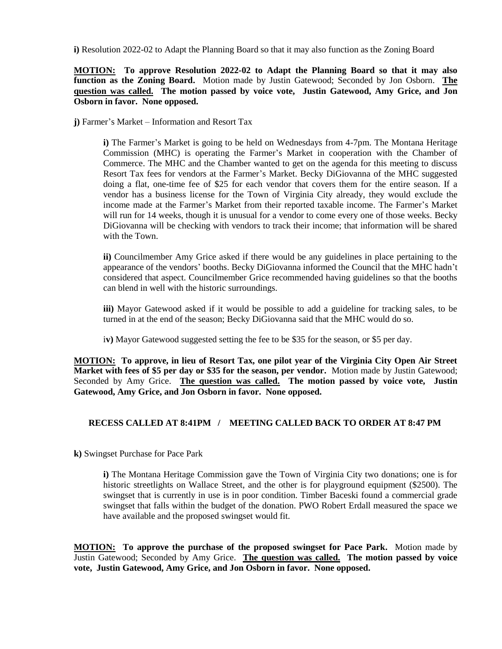**i)** Resolution 2022-02 to Adapt the Planning Board so that it may also function as the Zoning Board

**MOTION: To approve Resolution 2022-02 to Adapt the Planning Board so that it may also function as the Zoning Board.** Motion made by Justin Gatewood; Seconded by Jon Osborn. **The question was called. The motion passed by voice vote, Justin Gatewood, Amy Grice, and Jon Osborn in favor. None opposed.**

**j)** Farmer's Market – Information and Resort Tax

**i)** The Farmer's Market is going to be held on Wednesdays from 4-7pm. The Montana Heritage Commission (MHC) is operating the Farmer's Market in cooperation with the Chamber of Commerce. The MHC and the Chamber wanted to get on the agenda for this meeting to discuss Resort Tax fees for vendors at the Farmer's Market. Becky DiGiovanna of the MHC suggested doing a flat, one-time fee of \$25 for each vendor that covers them for the entire season. If a vendor has a business license for the Town of Virginia City already, they would exclude the income made at the Farmer's Market from their reported taxable income. The Farmer's Market will run for 14 weeks, though it is unusual for a vendor to come every one of those weeks. Becky DiGiovanna will be checking with vendors to track their income; that information will be shared with the Town.

**ii)** Councilmember Amy Grice asked if there would be any guidelines in place pertaining to the appearance of the vendors' booths. Becky DiGiovanna informed the Council that the MHC hadn't considered that aspect. Councilmember Grice recommended having guidelines so that the booths can blend in well with the historic surroundings.

**iii)** Mayor Gatewood asked if it would be possible to add a guideline for tracking sales, to be turned in at the end of the season; Becky DiGiovanna said that the MHC would do so.

i**v)** Mayor Gatewood suggested setting the fee to be \$35 for the season, or \$5 per day.

**MOTION: To approve, in lieu of Resort Tax, one pilot year of the Virginia City Open Air Street Market with fees of \$5 per day or \$35 for the season, per vendor.** Motion made by Justin Gatewood; Seconded by Amy Grice. **The question was called. The motion passed by voice vote, Justin Gatewood, Amy Grice, and Jon Osborn in favor. None opposed.**

### **RECESS CALLED AT 8:41PM / MEETING CALLED BACK TO ORDER AT 8:47 PM**

**k)** Swingset Purchase for Pace Park

**i)** The Montana Heritage Commission gave the Town of Virginia City two donations; one is for historic streetlights on Wallace Street, and the other is for playground equipment (\$2500). The swingset that is currently in use is in poor condition. Timber Baceski found a commercial grade swingset that falls within the budget of the donation. PWO Robert Erdall measured the space we have available and the proposed swingset would fit.

**MOTION: To approve the purchase of the proposed swingset for Pace Park.** Motion made by Justin Gatewood; Seconded by Amy Grice. **The question was called. The motion passed by voice vote, Justin Gatewood, Amy Grice, and Jon Osborn in favor. None opposed.**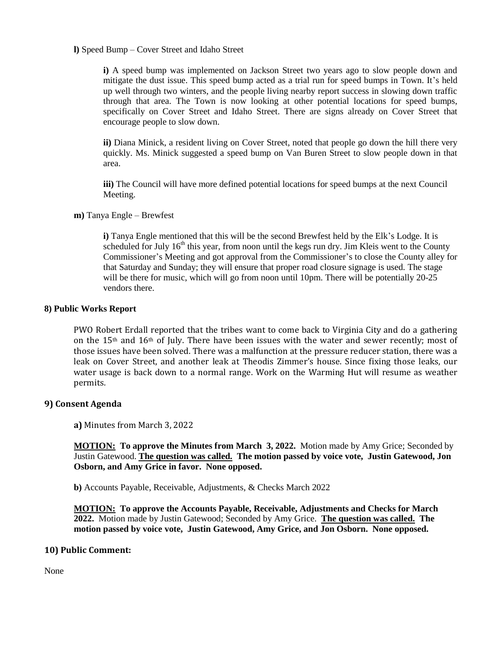**l)** Speed Bump – Cover Street and Idaho Street

**i)** A speed bump was implemented on Jackson Street two years ago to slow people down and mitigate the dust issue. This speed bump acted as a trial run for speed bumps in Town. It's held up well through two winters, and the people living nearby report success in slowing down traffic through that area. The Town is now looking at other potential locations for speed bumps, specifically on Cover Street and Idaho Street. There are signs already on Cover Street that encourage people to slow down.

**ii)** Diana Minick, a resident living on Cover Street, noted that people go down the hill there very quickly. Ms. Minick suggested a speed bump on Van Buren Street to slow people down in that area.

**iii)** The Council will have more defined potential locations for speed bumps at the next Council Meeting.

**m)** Tanya Engle – Brewfest

**i)** Tanya Engle mentioned that this will be the second Brewfest held by the Elk's Lodge. It is scheduled for July  $16<sup>th</sup>$  this year, from noon until the kegs run dry. Jim Kleis went to the County Commissioner's Meeting and got approval from the Commissioner's to close the County alley for that Saturday and Sunday; they will ensure that proper road closure signage is used. The stage will be there for music, which will go from noon until 10pm. There will be potentially 20-25 vendors there.

#### **8) Public Works Report**

PWO Robert Erdall reported that the tribes want to come back to Virginia City and do a gathering on the 15<sup>th</sup> and 16<sup>th</sup> of July. There have been issues with the water and sewer recently; most of those issues have been solved. There was a malfunction at the pressure reducer station, there was a leak on Cover Street, and another leak at Theodis Zimmer's house. Since fixing those leaks, our water usage is back down to a normal range. Work on the Warming Hut will resume as weather permits.

### **9) Consent Agenda**

**a)** Minutes from March 3, 2022

**MOTION: To approve the Minutes from March 3, 2022.** Motion made by Amy Grice; Seconded by Justin Gatewood. **The question was called. The motion passed by voice vote, Justin Gatewood, Jon Osborn, and Amy Grice in favor. None opposed.**

**b)** Accounts Payable, Receivable, Adjustments, & Checks March 2022

**MOTION: To approve the Accounts Payable, Receivable, Adjustments and Checks for March 2022.** Motion made by Justin Gatewood; Seconded by Amy Grice. **The question was called. The motion passed by voice vote, Justin Gatewood, Amy Grice, and Jon Osborn. None opposed.**

### **10) Public Comment:**

None